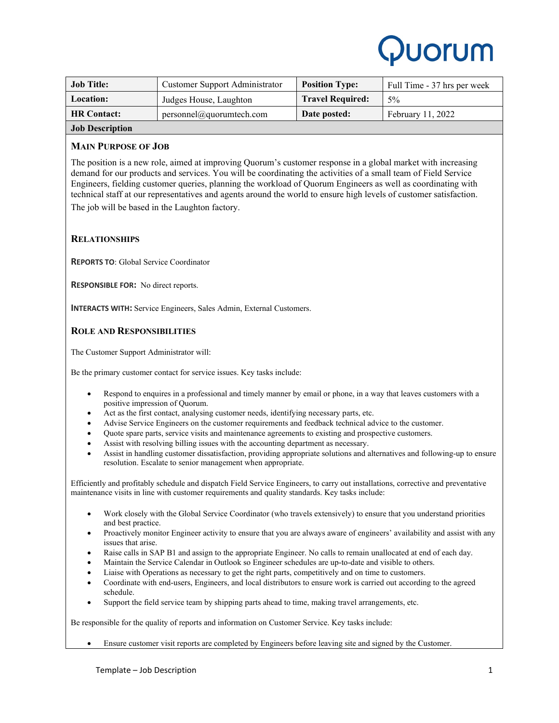# Duorum

| <b>Job Title:</b>            | <b>Customer Support Administrator</b> | <b>Position Type:</b>   | Full Time - 37 hrs per week |
|------------------------------|---------------------------------------|-------------------------|-----------------------------|
| Location:                    | Judges House, Laughton                | <b>Travel Required:</b> | $5\%$                       |
| <b>HR Contact:</b>           | personnel@quorumtech.com              | Date posted:            | February 11, 2022           |
| $\mathbf{r}$ in $\mathbf{r}$ |                                       |                         |                             |

# **Job Description**

# **MAIN PURPOSE OF JOB**

The position is a new role, aimed at improving Quorum's customer response in a global market with increasing demand for our products and services. You will be coordinating the activities of a small team of Field Service Engineers, fielding customer queries, planning the workload of Quorum Engineers as well as coordinating with technical staff at our representatives and agents around the world to ensure high levels of customer satisfaction.

The job will be based in the Laughton factory.

# **RELATIONSHIPS**

**REPORTS TO**: Global Service Coordinator

**RESPONSIBLE FOR:** No direct reports.

**INTERACTS WITH:** Service Engineers, Sales Admin, External Customers.

# **ROLE AND RESPONSIBILITIES**

The Customer Support Administrator will:

Be the primary customer contact for service issues. Key tasks include:

- Respond to enquires in a professional and timely manner by email or phone, in a way that leaves customers with a positive impression of Quorum.
- Act as the first contact, analysing customer needs, identifying necessary parts, etc.
- Advise Service Engineers on the customer requirements and feedback technical advice to the customer.
- Quote spare parts, service visits and maintenance agreements to existing and prospective customers.
- Assist with resolving billing issues with the accounting department as necessary.
- Assist in handling customer dissatisfaction, providing appropriate solutions and alternatives and following-up to ensure resolution. Escalate to senior management when appropriate.

Efficiently and profitably schedule and dispatch Field Service Engineers, to carry out installations, corrective and preventative maintenance visits in line with customer requirements and quality standards. Key tasks include:

- Work closely with the Global Service Coordinator (who travels extensively) to ensure that you understand priorities and best practice.
- Proactively monitor Engineer activity to ensure that you are always aware of engineers' availability and assist with any issues that arise.
- Raise calls in SAP B1 and assign to the appropriate Engineer. No calls to remain unallocated at end of each day.
- Maintain the Service Calendar in Outlook so Engineer schedules are up-to-date and visible to others.
- Liaise with Operations as necessary to get the right parts, competitively and on time to customers.
- Coordinate with end-users, Engineers, and local distributors to ensure work is carried out according to the agreed schedule.
- Support the field service team by shipping parts ahead to time, making travel arrangements, etc.

Be responsible for the quality of reports and information on Customer Service. Key tasks include:

• Ensure customer visit reports are completed by Engineers before leaving site and signed by the Customer.